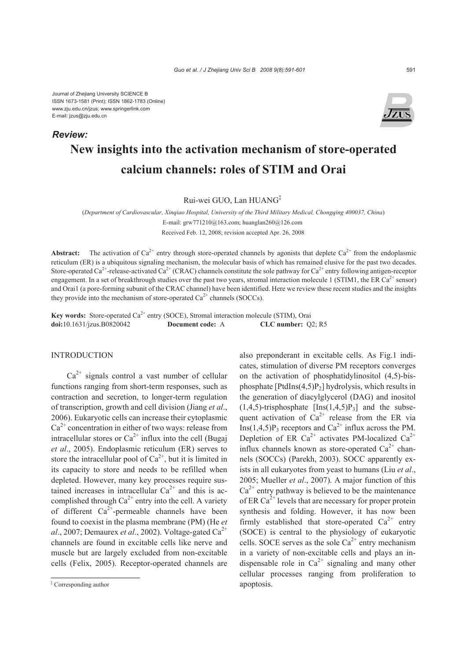Journal of Zhejiang University SCIENCE B ISSN 1673-1581 (Print); ISSN 1862-1783 (Online) www.zju.edu.cn/jzus; www.springerlink.com E-mail: jzus@zju.edu.cn

### *Review:*



# **New insights into the activation mechanism of store-operated calcium channels: roles of STIM and Orai**

Rui-wei GUO, Lan HUANG‡

(*Department of Cardiovascular, Xinqiao Hospital, University of the Third Military Medical, Chongqing 400037, China*) E-mail: grw771210@163.com; huanglan260@126.com Received Feb. 12, 2008; revision accepted Apr. 26, 2008

**Abstract:** The activation of  $Ca^{2+}$  entry through store-operated channels by agonists that deplete  $Ca^{2+}$  from the endoplasmic reticulum (ER) is a ubiquitous signaling mechanism, the molecular basis of which has remained elusive for the past two decades. Store-operated Ca<sup>2+</sup>-release-activated Ca<sup>2+</sup> (CRAC) channels constitute the sole pathway for Ca<sup>2+</sup> entry following antigen-receptor engagement. In a set of breakthrough studies over the past two years, stromal interaction molecule 1 (STIM1, the ER  $Ca^{2+}$  sensor) and Orai1 (a pore-forming subunit of the CRAC channel) have been identified. Here we review these recent studies and the insights they provide into the mechanism of store-operated  $Ca^{2+}$  channels (SOCCs).

Key words: Store-operated Ca<sup>2+</sup> entry (SOCE), Stromal interaction molecule (STIM), Orai **doi:**10.1631/jzus.B0820042 **Document code:** A **CLC number:** Q2; R5

# **INTRODUCTION**

 $Ca^{2+}$  signals control a vast number of cellular functions ranging from short-term responses, such as contraction and secretion, to longer-term regulation of transcription, growth and cell division (Jiang *et al*., 2006). Eukaryotic cells can increase their cytoplasmic  $Ca<sup>2+</sup>$  concentration in either of two ways: release from intracellular stores or  $Ca^{2+}$  influx into the cell (Bugaj *et al*., 2005). Endoplasmic reticulum (ER) serves to store the intracellular pool of  $Ca^{2+}$ , but it is limited in its capacity to store and needs to be refilled when depleted. However, many key processes require sustained increases in intracellular  $Ca^{2+}$  and this is accomplished through  $Ca^{2+}$  entry into the cell. A variety of different  $Ca^{2+}$ -permeable channels have been found to coexist in the plasma membrane (PM) (He *et al.*, 2007; Demaurex *et al.*, 2002). Voltage-gated  $Ca^{2+}$ channels are found in excitable cells like nerve and muscle but are largely excluded from non-excitable cells (Felix, 2005). Receptor-operated channels are

also preponderant in excitable cells. As Fig.1 indicates, stimulation of diverse PM receptors converges on the activation of phosphatidylinositol (4,5)-bisphosphate  $[PtdIns(4,5)P_2]$  hydrolysis, which results in the generation of diacylglycerol (DAG) and inositol  $(1,4,5)$ -trisphosphate  $[Ins(1,4,5)P_3]$  and the subsequent activation of  $Ca^{2+}$  release from the ER via Ins(1,4,5)P<sub>3</sub> receptors and Ca<sup>2+</sup> influx across the PM. Depletion of ER  $Ca^{2+}$  activates PM-localized  $Ca^{2+}$ influx channels known as store-operated  $Ca^{2+}$  channels (SOCCs) (Parekh, 2003). SOCC apparently exists in all eukaryotes from yeast to humans (Liu *et al*., 2005; Mueller *et al*., 2007). A major function of this  $Ca^{2+}$  entry pathway is believed to be the maintenance of ER  $Ca^{2+}$  levels that are necessary for proper protein synthesis and folding. However, it has now been firmly established that store-operated  $Ca^{2+}$  entry (SOCE) is central to the physiology of eukaryotic cells. SOCE serves as the sole  $Ca^{2+}$  entry mechanism in a variety of non-excitable cells and plays an indispensable role in  $Ca^{2+}$  signaling and many other cellular processes ranging from proliferation to apoptosis.

<sup>‡</sup> Corresponding author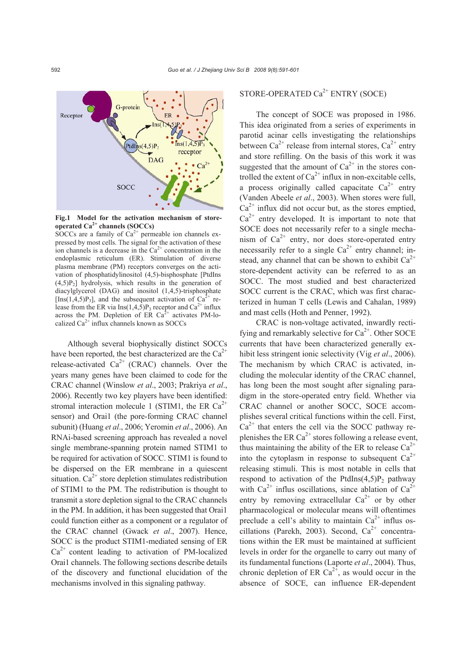

**Fig.1 Model for the activation mechanism of storeoperated Ca2+ channels (SOCCs)** 

SOCCs are a family of  $Ca^{2+}$  permeable ion channels expressed by most cells. The signal for the activation of these ion channels is a decrease in the  $Ca<sup>2+</sup>$  concentration in the endoplasmic reticulum (ER). Stimulation of diverse plasma membrane (PM) receptors converges on the activation of phosphatidylinositol (4,5)-bisphosphate [PtdIns  $(4,5)P<sub>2</sub>$ ] hydrolysis, which results in the generation of diacylglycerol (DAG) and inositol (1,4,5)-trisphosphate [Ins(1,4,5)P<sub>3</sub>], and the subsequent activation of  $Ca^{2+}$  release from the ER via Ins $(1,4,5)P_3$  receptor and Ca<sup>2+</sup> influx across the PM. Depletion of ER  $Ca^{2+}$  activates PM-localized  $Ca^{2+}$  influx channels known as SOCCs

Although several biophysically distinct SOCCs have been reported, the best characterized are the  $Ca^{2+}$ release-activated  $Ca^{2+}$  (CRAC) channels. Over the years many genes have been claimed to code for the CRAC channel (Winslow *et al*., 2003; Prakriya *et al*., 2006). Recently two key players have been identified: stromal interaction molecule 1 (STIM1, the ER  $Ca^{2+}$ sensor) and Orai1 (the pore-forming CRAC channel subunit) (Huang *et al*., 2006; Yeromin *et al*., 2006). An RNAi-based screening approach has revealed a novel single membrane-spanning protein named STIM1 to be required for activation of SOCC. STIM1 is found to be dispersed on the ER membrane in a quiescent situation.  $Ca^{2+}$  store depletion stimulates redistribution of STIM1 to the PM. The redistribution is thought to transmit a store depletion signal to the CRAC channels in the PM. In addition, it has been suggested that Orai1 could function either as a component or a regulator of the CRAC channel (Gwack *et al*., 2007). Hence, SOCC is the product STIM1-mediated sensing of ER  $Ca<sup>2+</sup>$  content leading to activation of PM-localized Orai1 channels. The following sections describe details of the discovery and functional elucidation of the mechanisms involved in this signaling pathway.

# STORE-OPERATED  $Ca^{2+}$  ENTRY (SOCE)

The concept of SOCE was proposed in 1986. This idea originated from a series of experiments in parotid acinar cells investigating the relationships between Ca<sup>2+</sup> release from internal stores, Ca<sup>2+</sup> entry and store refilling. On the basis of this work it was suggested that the amount of  $Ca^{2+}$  in the stores controlled the extent of  $Ca^{2+}$  influx in non-excitable cells, a process originally called capacitate  $Ca^{2+}$  entry (Vanden Abeele *et al*., 2003). When stores were full,  $Ca^{2+}$  influx did not occur but, as the stores emptied,  $Ca^{2+}$  entry developed. It is important to note that SOCE does not necessarily refer to a single mechanism of  $Ca^{2+}$  entry, nor does store-operated entry necessarily refer to a single  $Ca^{2+}$  entry channel; instead, any channel that can be shown to exhibit  $Ca^{2+}$ store-dependent activity can be referred to as an SOCC. The most studied and best characterized SOCC current is the CRAC, which was first characterized in human T cells (Lewis and Cahalan, 1989) and mast cells (Hoth and Penner, 1992).

CRAC is non-voltage activated, inwardly rectifying and remarkably selective for  $Ca^{2+}$ . Other SOCE currents that have been characterized generally exhibit less stringent ionic selectivity (Vig *et al*., 2006). The mechanism by which CRAC is activated, including the molecular identity of the CRAC channel, has long been the most sought after signaling paradigm in the store-operated entry field. Whether via CRAC channel or another SOCC, SOCE accomplishes several critical functions within the cell. First,  $Ca^{2+}$  that enters the cell via the SOCC pathway replenishes the ER  $Ca^{2+}$  stores following a release event, thus maintaining the ability of the ER to release  $Ca^{2+}$ into the cytoplasm in response to subsequent  $Ca^{2+}$ releasing stimuli. This is most notable in cells that respond to activation of the PtdIns $(4,5)P_2$  pathway with  $Ca^{2+}$  influs oscillations, since ablation of  $Ca^{2+}$ entry by removing extracellular  $Ca^{2+}$  or by other pharmacological or molecular means will oftentimes preclude a cell's ability to maintain  $Ca^{2+}$  influs oscillations (Parekh, 2003). Second,  $Ca<sup>2+</sup>$  concentrations within the ER must be maintained at sufficient levels in order for the organelle to carry out many of its fundamental functions (Laporte *et al*., 2004). Thus, chronic depletion of ER  $Ca^{2+}$ , as would occur in the absence of SOCE, can influence ER-dependent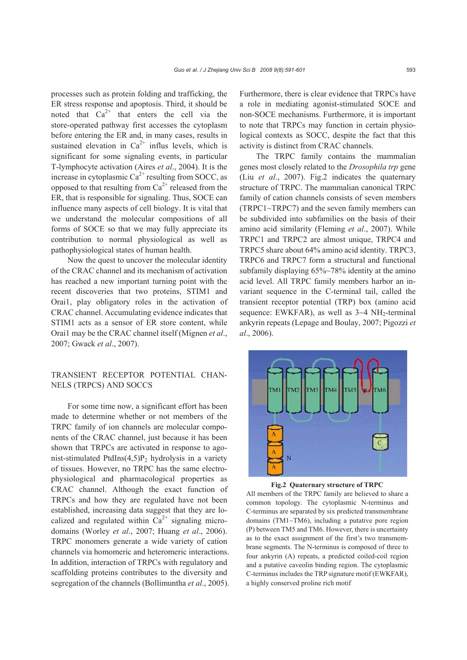processes such as protein folding and trafficking, the ER stress response and apoptosis. Third, it should be noted that  $Ca^{2+}$  that enters the cell via the store-operated pathway first accesses the cytoplasm before entering the ER and, in many cases, results in sustained elevation in  $Ca^{2+}$  influs levels, which is significant for some signaling events, in particular T-lymphocyte activation (Aires *et al*., 2004). It is the increase in cytoplasmic  $Ca^{2+}$  resulting from SOCC, as opposed to that resulting from  $Ca^{2+}$  released from the ER, that is responsible for signaling. Thus, SOCE can influence many aspects of cell biology. It is vital that we understand the molecular compositions of all forms of SOCE so that we may fully appreciate its contribution to normal physiological as well as pathophysiological states of human health.

Now the quest to uncover the molecular identity of the CRAC channel and its mechanism of activation has reached a new important turning point with the recent discoveries that two proteins, STIM1 and Orai1, play obligatory roles in the activation of CRAC channel. Accumulating evidence indicates that STIM1 acts as a sensor of ER store content, while Orai1 may be the CRAC channel itself (Mignen *et al*., 2007; Gwack *et al*., 2007).

# TRANSIENT RECEPTOR POTENTIAL CHAN-NELS (TRPCS) AND SOCCS

For some time now, a significant effort has been made to determine whether or not members of the TRPC family of ion channels are molecular components of the CRAC channel, just because it has been shown that TRPCs are activated in response to agonist-stimulated PtdIns $(4,5)P_2$  hydrolysis in a variety of tissues. However, no TRPC has the same electrophysiological and pharmacological properties as CRAC channel. Although the exact function of TRPCs and how they are regulated have not been established, increasing data suggest that they are localized and regulated within  $Ca^{2+}$  signaling microdomains (Worley *et al*., 2007; Huang *et al*., 2006). TRPC monomers generate a wide variety of cation channels via homomeric and heteromeric interactions. In addition, interaction of TRPCs with regulatory and scaffolding proteins contributes to the diversity and segregation of the channels (Bollimuntha *et al*., 2005). Furthermore, there is clear evidence that TRPCs have a role in mediating agonist-stimulated SOCE and non-SOCE mechanisms. Furthermore, it is important to note that TRPCs may function in certain physiological contexts as SOCC, despite the fact that this activity is distinct from CRAC channels.

The TRPC family contains the mammalian genes most closely related to the *Drosophila trp* gene (Liu *et al*., 2007). Fig.2 indicates the quaternary structure of TRPC. The mammalian canonical TRPC family of cation channels consists of seven members (TRPC1~TRPC7) and the seven family members can be subdivided into subfamilies on the basis of their amino acid similarity (Fleming *et al*., 2007). While TRPC1 and TRPC2 are almost unique, TRPC4 and TRPC5 share about 64% amino acid identity. TRPC3, TRPC6 and TRPC7 form a structural and functional subfamily displaying 65%~78% identity at the amino acid level. All TRPC family members harbor an invariant sequence in the C-terminal tail, called the transient receptor potential (TRP) box (amino acid sequence: EWKFAR), as well as  $3-4$  NH<sub>2</sub>-terminal ankyrin repeats (Lepage and Boulay, 2007; Pigozzi *et al*., 2006).





All members of the TRPC family are believed to share a common topology. The cytoplasmic N-terminus and C-terminus are separated by six predicted transmembrane domains (TM1~TM6), including a putative pore region (P) between TM5 and TM6. However, there is uncertainty as to the exact assignment of the first's two transmembrane segments. The N-terminus is composed of three to four ankyrin (A) repeats, a predicted coiled-coil region and a putative caveolin binding region. The cytoplasmic C-terminus includes the TRP signature motif (EWKFAR), a highly conserved proline rich motif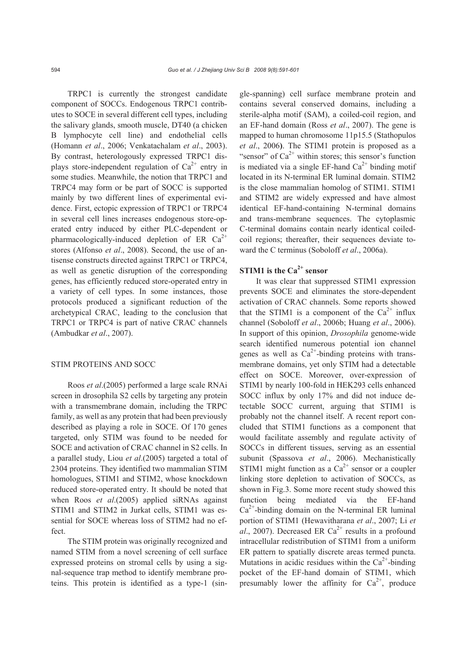TRPC1 is currently the strongest candidate component of SOCCs. Endogenous TRPC1 contributes to SOCE in several different cell types, including the salivary glands, smooth muscle, DT40 (a chicken B lymphocyte cell line) and endothelial cells (Homann *et al*., 2006; Venkatachalam *et al*., 2003). By contrast, heterologously expressed TRPC1 displays store-independent regulation of  $Ca^{2+}$  entry in some studies. Meanwhile, the notion that TRPC1 and TRPC4 may form or be part of SOCC is supported mainly by two different lines of experimental evidence. First, ectopic expression of TRPC1 or TRPC4 in several cell lines increases endogenous store-operated entry induced by either PLC-dependent or pharmacologically-induced depletion of ER  $Ca^{2+}$ stores (Alfonso *et al*., 2008). Second, the use of antisense constructs directed against TRPC1 or TRPC4, as well as genetic disruption of the corresponding genes, has efficiently reduced store-operated entry in a variety of cell types. In some instances, those protocols produced a significant reduction of the archetypical CRAC, leading to the conclusion that TRPC1 or TRPC4 is part of native CRAC channels (Ambudkar *et al*., 2007).

# STIM PROTEINS AND SOCC

Roos *et al*.(2005) performed a large scale RNAi screen in drosophila S2 cells by targeting any protein with a transmembrane domain, including the TRPC family, as well as any protein that had been previously described as playing a role in SOCE. Of 170 genes targeted, only STIM was found to be needed for SOCE and activation of CRAC channel in S2 cells. In a parallel study, Liou *et al*.(2005) targeted a total of 2304 proteins. They identified two mammalian STIM homologues, STIM1 and STIM2, whose knockdown reduced store-operated entry. It should be noted that when Roos *et al*.(2005) applied siRNAs against STIM1 and STIM2 in Jurkat cells, STIM1 was essential for SOCE whereas loss of STIM2 had no effect.

The STIM protein was originally recognized and named STIM from a novel screening of cell surface expressed proteins on stromal cells by using a signal-sequence trap method to identify membrane proteins. This protein is identified as a type-1 (single-spanning) cell surface membrane protein and contains several conserved domains, including a sterile-alpha motif (SAM), a coiled-coil region, and an EF-hand domain (Ross *et al*., 2007). The gene is mapped to human chromosome 11p15.5 (Stathopulos *et al*., 2006**)**. The STIM1 protein is proposed as a "sensor" of  $Ca^{2+}$  within stores; this sensor's function is mediated via a single EF-hand  $Ca^{2+}$  binding motif located in its N-terminal ER luminal domain. STIM2 is the close mammalian homolog of STIM1. STIM1 and STIM2 are widely expressed and have almost identical EF-hand-containing N-terminal domains and trans-membrane sequences. The cytoplasmic C-terminal domains contain nearly identical coiledcoil regions; thereafter, their sequences deviate toward the C terminus (Soboloff *et al*., 2006a).

# **STIM1** is the Ca<sup>2+</sup> sensor

It was clear that suppressed STIM1 expression prevents SOCE and eliminates the store-dependent activation of CRAC channels. Some reports showed that the STIM1 is a component of the  $Ca^{2+}$  influx channel (Soboloff *et al*., 2006b; Huang *et al*., 2006). In support of this opinion, *Drosophila* genome-wide search identified numerous potential ion channel genes as well as  $Ca^{2+}$ -binding proteins with transmembrane domains, yet only STIM had a detectable effect on SOCE. Moreover, over-expression of STIM1 by nearly 100-fold in HEK293 cells enhanced SOCC influx by only 17% and did not induce detectable SOCC current, arguing that STIM1 is probably not the channel itself. A recent report concluded that STIM1 functions as a component that would facilitate assembly and regulate activity of SOCCs in different tissues, serving as an essential subunit (Spassova *et al*., 2006). Mechanistically STIM1 might function as a  $Ca^{2+}$  sensor or a coupler linking store depletion to activation of SOCCs, as shown in Fig.3. Some more recent study showed this function being mediated via the EF-hand  $Ca<sup>2+</sup>$ -binding domain on the N-terminal ER luminal portion of STIM1 (Hewavitharana *et al*., 2007; Li *et al.*, 2007). Decreased ER Ca<sup>2+</sup> results in a profound intracellular redistribution of STIM1 from a uniform ER pattern to spatially discrete areas termed puncta. Mutations in acidic residues within the  $Ca^{2+}$ -binding pocket of the EF-hand domain of STIM1, which presumably lower the affinity for  $Ca^{2+}$ , produce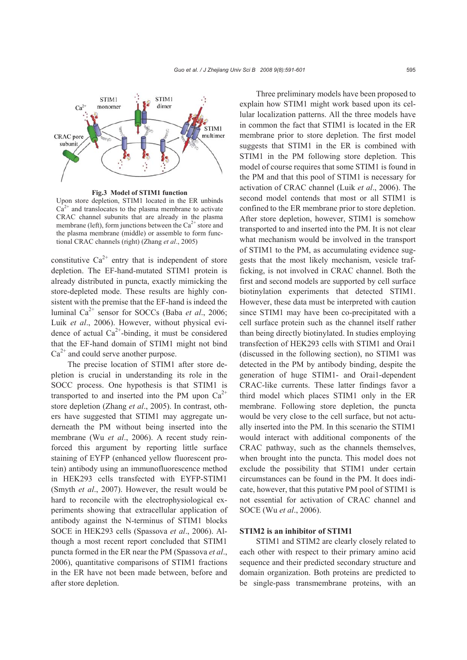

**Fig.3 Model of STIM1 function** 

Upon store depletion, STIM1 located in the ER unbinds  $Ca<sup>2+</sup>$  and translocates to the plasma membrane to activate CRAC channel subunits that are already in the plasma membrane (left), form junctions between the  $Ca^{2+}$  store and the plasma membrane (middle) or assemble to form functional CRAC channels (right) (Zhang *et al*., 2005)

constitutive  $Ca^{2+}$  entry that is independent of store depletion. The EF-hand-mutated STIM1 protein is already distributed in puncta, exactly mimicking the store-depleted mode. These results are highly consistent with the premise that the EF-hand is indeed the luminal Ca2+ sensor for SOCCs (Baba *et al*., 2006; Luik *et al*., 2006). However, without physical evidence of actual  $Ca^{2+}$ -binding, it must be considered that the EF-hand domain of STIM1 might not bind  $Ca^{2+}$  and could serve another purpose.

The precise location of STIM1 after store depletion is crucial in understanding its role in the SOCC process. One hypothesis is that STIM1 is transported to and inserted into the PM upon  $Ca^{2+}$ store depletion (Zhang *et al*., 2005). In contrast, others have suggested that STIM1 may aggregate underneath the PM without being inserted into the membrane (Wu *et al*., 2006). A recent study reinforced this argument by reporting little surface staining of EYFP (enhanced yellow fluorescent protein) antibody using an immunofluorescence method in HEK293 cells transfected with EYFP-STIM1 (Smyth *et al*., 2007). However, the result would be hard to reconcile with the electrophysiological experiments showing that extracellular application of antibody against the N-terminus of STIM1 blocks SOCE in HEK293 cells (Spassova *et al*., 2006). Although a most recent report concluded that STIM1 puncta formed in the ER near the PM (Spassova *et al*., 2006), quantitative comparisons of STIM1 fractions in the ER have not been made between, before and after store depletion.

Three preliminary models have been proposed to explain how STIM1 might work based upon its cellular localization patterns. All the three models have in common the fact that STIM1 is located in the ER membrane prior to store depletion. The first model suggests that STIM1 in the ER is combined with STIM1 in the PM following store depletion. This model of course requires that some STIM1 is found in the PM and that this pool of STIM1 is necessary for activation of CRAC channel (Luik *et al*., 2006). The second model contends that most or all STIM1 is confined to the ER membrane prior to store depletion. After store depletion, however, STIM1 is somehow transported to and inserted into the PM. It is not clear what mechanism would be involved in the transport of STIM1 to the PM, as accumulating evidence suggests that the most likely mechanism, vesicle trafficking, is not involved in CRAC channel. Both the first and second models are supported by cell surface biotinylation experiments that detected STIM1. However, these data must be interpreted with caution since STIM1 may have been co-precipitated with a cell surface protein such as the channel itself rather than being directly biotinylated. In studies employing transfection of HEK293 cells with STIM1 and Orai1 (discussed in the following section), no STIM1 was detected in the PM by antibody binding, despite the generation of huge STIM1- and Orai1-dependent CRAC-like currents. These latter findings favor a third model which places STIM1 only in the ER membrane. Following store depletion, the puncta would be very close to the cell surface, but not actually inserted into the PM. In this scenario the STIM1 would interact with additional components of the CRAC pathway, such as the channels themselves, when brought into the puncta. This model does not exclude the possibility that STIM1 under certain circumstances can be found in the PM. It does indicate, however, that this putative PM pool of STIM1 is not essential for activation of CRAC channel and SOCE (Wu *et al*., 2006).

#### **STIM2 is an inhibitor of STIM1**

STIM1 and STIM2 are clearly closely related to each other with respect to their primary amino acid sequence and their predicted secondary structure and domain organization. Both proteins are predicted to be single-pass transmembrane proteins, with an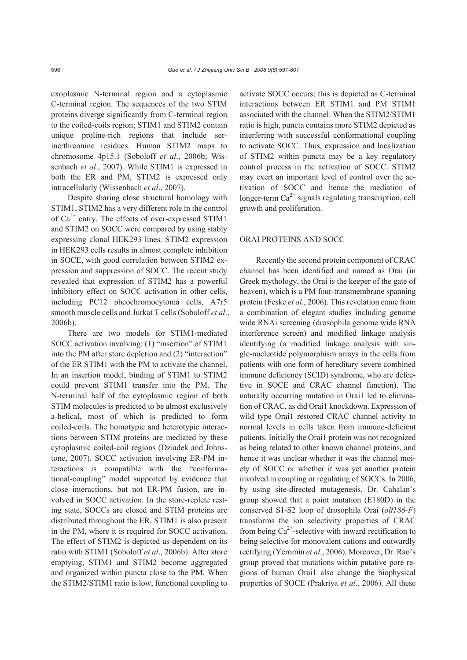exoplasmic N-terminal region and a cytoplasmic C-terminal region. The sequences of the two STIM proteins diverge significantly from C-terminal region to the coiled-coils region; STIM1 and STIM2 contain unique proline-rich regions that include serine/threonine residues. Human STIM2 maps to chromosome 4p15.1 (Soboloff *et al*., 2006b; Wissenbach *et al*., 2007). While STIM1 is expressed in both the ER and PM, STIM2 is expressed only intracellularly (Wissenbach *et al*., 2007).

Despite sharing close structural homology with STIM1, STIM2 has a very different role in the control of  $Ca^{2+}$  entry. The effects of over-expressed STIM1 and STIM2 on SOCC were compared by using stably expressing clonal HEK293 lines. STIM2 expression in HEK293 cells results in almost complete inhibition in SOCE, with good correlation between STIM2 expression and suppression of SOCC. The recent study revealed that expression of STIM2 has a powerful inhibitory effect on SOCC activation in other cells, including PC12 pheochromocytoma cells, A7r5 smooth muscle cells and Jurkat T cells (Soboloff *et al*., 2006b).

There are two models for STIM1-mediated SOCC activation involving: (1) "insertion" of STIM1 into the PM after store depletion and (2) "interaction" of the ER STIM1 with the PM to activate the channel. In an insertion model, binding of STIM1 to STIM2 could prevent STIM1 transfer into the PM. The N-terminal half of the cytoplasmic region of both STIM molecules is predicted to be almost exclusively a-helical, most of which is predicted to form coiled-coils. The homotypic and heterotypic interactions between STIM proteins are mediated by these cytoplasmic coiled-coil regions (Dziadek and Johnstone, 2007). SOCC activation involving ER-PM interactions is compatible with the "conformational-coupling" model supported by evidence that close interactions, but not ER-PM fusion, are involved in SOCC activation. In the store-replete resting state, SOCCs are closed and STIM proteins are distributed throughout the ER. STIM1 is also present in the PM, where it is required for SOCC activation. The effect of STIM2 is depicted as dependent on its ratio with STIM1 (Soboloff *et al*., 2006b). After store emptying, STIM1 and STIM2 become aggregated and organized within puncta close to the PM. When the STIM2/STIM1 ratio is low, functional coupling to

activate SOCC occurs; this is depicted as C-terminal interactions between ER STIM1 and PM STIM1 associated with the channel. When the STIM2/STIM1 ratio is high, puncta contains more STIM2 depicted as interfering with successful conformational coupling to activate SOCC. Thus, expression and localization of STIM2 within puncta may be a key regulatory control process in the activation of SOCC. STIM2 may exert an important level of control over the activation of SOCC and hence the mediation of longer-term  $Ca^{2+}$  signals regulating transcription, cell growth and proliferation.

#### ORAI PROTEINS AND SOCC

Recently the second protein component of CRAC channel has been identified and named as Orai (in Greek mythology, the Orai is the keeper of the gate of heaven), which is a PM four-transmembrane spanning protein (Feske *et al*., 2006). This revelation came from a combination of elegant studies including genome wide RNAi screening (drosophila genome wide RNA interference screen) and modified linkage analysis identifying (a modified linkage analysis with single-nucleotide polymorphism arrays in the cells from patients with one form of hereditary severe combined immune deficiency (SCID) syndrome, who are defective in SOCE and CRAC channel function). The naturally occurring mutation in Orai1 led to elimination of CRAC, as did Orai1 knockdown. Expression of wild type Orai1 restored CRAC channel activity to normal levels in cells taken from immune-deficient patients. Initially the Orai1 protein was not recognized as being related to other known channel proteins, and hence it was unclear whether it was the channel moiety of SOCC or whether it was yet another protein involved in coupling or regulating of SOCCs. In 2006, by using site-directed mutagenesis, Dr. Cahalan's group showed that a point mutation (E180D) in the conserved S1-S2 loop of drosophila Orai (*olf186-F*) transforms the ion selectivity properties of CRAC from being  $Ca^{2+}$ -selective with inward rectification to being selective for monovalent cations and outwardly rectifying (Yeromin *et al*., 2006). Moreover, Dr. Rao's group proved that mutations within putative pore regions of human Orai1 also change the biophysical properties of SOCE (Prakriya *et al*., 2006). All these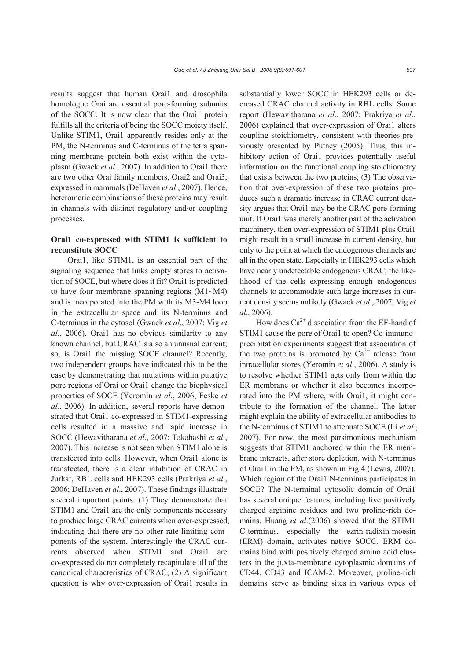results suggest that human Orai1 and drosophila homologue Orai are essential pore-forming subunits of the SOCC. It is now clear that the Orai1 protein fulfills all the criteria of being the SOCC moiety itself. Unlike STIM1, Orai1 apparently resides only at the PM, the N-terminus and C-terminus of the tetra spanning membrane protein both exist within the cytoplasm (Gwack *et al*., 2007). In addition to Orai1 there are two other Orai family members, Orai2 and Orai3, expressed in mammals (DeHaven *et al*., 2007). Hence, heteromeric combinations of these proteins may result in channels with distinct regulatory and/or coupling processes.

# **Orai1 co-expressed with STIM1 is sufficient to reconstitute SOCC**

Orai1, like STIM1, is an essential part of the signaling sequence that links empty stores to activation of SOCE, but where does it fit? Orai1 is predicted to have four membrane spanning regions (M1~M4) and is incorporated into the PM with its M3-M4 loop in the extracellular space and its N-terminus and C-terminus in the cytosol (Gwack *et al*., 2007; Vig *et al*., 2006). Orai1 has no obvious similarity to any known channel, but CRAC is also an unusual current; so, is Orai1 the missing SOCE channel? Recently, two independent groups have indicated this to be the case by demonstrating that mutations within putative pore regions of Orai or Orai1 change the biophysical properties of SOCE (Yeromin *et al*., 2006; Feske *et al*., 2006). In addition, several reports have demonstrated that Orai1 co-expressed in STIM1-expressing cells resulted in a massive and rapid increase in SOCC (Hewavitharana *et al*., 2007; Takahashi *et al*., 2007). This increase is not seen when STIM1 alone is transfected into cells. However, when Orai1 alone is transfected, there is a clear inhibition of CRAC in Jurkat, RBL cells and HEK293 cells (Prakriya *et al*., 2006; DeHaven *et al*., 2007). These findings illustrate several important points: (1) They demonstrate that STIM1 and Orai1 are the only components necessary to produce large CRAC currents when over-expressed, indicating that there are no other rate-limiting components of the system. Interestingly the CRAC currents observed when STIM1 and Orai1 are co-expressed do not completely recapitulate all of the canonical characteristics of CRAC; (2) A significant question is why over-expression of Orai1 results in

substantially lower SOCC in HEK293 cells or decreased CRAC channel activity in RBL cells. Some report (Hewavitharana *et al*., 2007; Prakriya *et al*., 2006) explained that over-expression of Orai1 alters coupling stoichiometry, consistent with theories previously presented by Putney (2005). Thus, this inhibitory action of Orail provides potentially useful information on the functional coupling stoichiometry that exists between the two proteins; (3) The observation that over-expression of these two proteins produces such a dramatic increase in CRAC current density argues that Orai1 may be the CRAC pore-forming unit. If Orai1 was merely another part of the activation machinery, then over-expression of STIM1 plus Orai1 might result in a small increase in current density, but only to the point at which the endogenous channels are all in the open state. Especially in HEK293 cells which have nearly undetectable endogenous CRAC, the likelihood of the cells expressing enough endogenous channels to accommodate such large increases in current density seems unlikely (Gwack *et al*., 2007; Vig *et al*., 2006).

How does  $Ca^{2+}$  dissociation from the EF-hand of STIM1 cause the pore of Orai1 to open? Co-immunoprecipitation experiments suggest that association of the two proteins is promoted by  $Ca^{2+}$  release from intracellular stores (Yeromin *et al*., 2006). A study is to resolve whether STIM1 acts only from within the ER membrane or whether it also becomes incorporated into the PM where, with Orai1, it might contribute to the formation of the channel. The latter might explain the ability of extracellular antibodies to the N-terminus of STIM1 to attenuate SOCE (Li *et al*., 2007). For now, the most parsimonious mechanism suggests that STIM1 anchored within the ER membrane interacts, after store depletion, with N-terminus of Orai1 in the PM, as shown in Fig.4 (Lewis, 2007). Which region of the Orai1 N-terminus participates in SOCE? The N-terminal cytosolic domain of Orai1 has several unique features, including five positively charged arginine residues and two proline-rich domains. Huang *et al*.(2006) showed that the STIM1 C-terminus, especially the ezrin-radixin-moesin (ERM) domain, activates native SOCC. ERM domains bind with positively charged amino acid clusters in the juxta-membrane cytoplasmic domains of CD44, CD43 and ICAM-2. Moreover, proline-rich domains serve as binding sites in various types of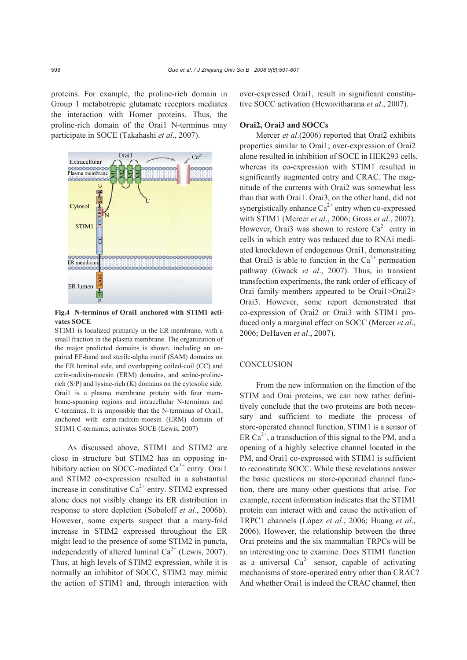proteins. For example, the proline-rich domain in Group 1 metabotropic glutamate receptors mediates the interaction with Homer proteins. Thus, the proline-rich domain of the Orai1 N-terminus may participate in SOCE (Takahashi *et al*., 2007).



**Fig.4 N-terminus of Orai1 anchored with STIM1 activates SOCE** 

STIM1 is localized primarily in the ER membrane, with a small fraction in the plasma membrane. The organization of the major predicted domains is shown, including an unpaired EF-hand and sterile-alpha motif (SAM) domains on the ER luminal side, and overlapping coiled-coil (CC) and ezrin-radixin-moesin (ERM) domains, and serine-prolinerich (S/P) and lysine-rich (K) domains on the cytosolic side. Orai1 is a plasma membrane protein with four membrane-spanning regions and intracellular N-terminus and C-terminus. It is impossible that the N-terminus of Orai1, anchored with ezrin-radixin-moesin (ERM) domain of STIM1 C-terminus, activates SOCE (Lewis, 2007)

As discussed above, STIM1 and STIM2 are close in structure but STIM2 has an opposing inhibitory action on SOCC-mediated  $Ca<sup>2+</sup>$  entry. Orai1 and STIM2 co-expression resulted in a substantial increase in constitutive  $Ca^{2+}$  entry. STIM2 expressed alone does not visibly change its ER distribution in response to store depletion (Soboloff *et al*., 2006b). However, some experts suspect that a many-fold increase in STIM2 expressed throughout the ER might lead to the presence of some STIM2 in puncta, independently of altered luminal  $Ca^{2+}$  (Lewis, 2007). Thus, at high levels of STIM2 expression, while it is normally an inhibitor of SOCC, STIM2 may mimic the action of STIM1 and, through interaction with over-expressed Orai1, result in significant constitutive SOCC activation (Hewavitharana *et al*., 2007).

#### **Orai2, Orai3 and SOCCs**

Mercer *et al*.(2006) reported that Orai2 exhibits properties similar to Orai1; over-expression of Orai2 alone resulted in inhibition of SOCE in HEK293 cells, whereas its co-expression with STIM1 resulted in significantly augmented entry and CRAC. The magnitude of the currents with Orai2 was somewhat less than that with Orai1. Orai3, on the other hand, did not synergistically enhance  $Ca^{2+}$  entry when co-expressed with STIM1 (Mercer *et al*., 2006; Gross *et al*., 2007). However, Orai3 was shown to restore  $Ca^{2+}$  entry in cells in which entry was reduced due to RNAi mediated knockdown of endogenous Orai1, demonstrating that Orai3 is able to function in the  $Ca^{2+}$  permeation pathway (Gwack *et al*., 2007). Thus, in transient transfection experiments, the rank order of efficacy of Orai family members appeared to be Orai1>Orai2> Orai3. However, some report demonstrated that co-expression of Orai2 or Orai3 with STIM1 produced only a marginal effect on SOCC (Mercer *et al*., 2006; DeHaven *et al*., 2007).

# **CONCLUSION**

From the new information on the function of the STIM and Orai proteins, we can now rather definitively conclude that the two proteins are both necessary and sufficient to mediate the process of store-operated channel function. STIM1 is a sensor of ER Ca<sup>2+</sup>, a transduction of this signal to the PM, and a opening of a highly selective channel located in the PM, and Orai1 co-expressed with STIM1 is sufficient to reconstitute SOCC. While these revelations answer the basic questions on store-operated channel function, there are many other questions that arise. For example, recent information indicates that the STIM1 protein can interact with and cause the activation of TRPC1 channels (López *et al.*, 2006; Huang *et al*., 2006). However, the relationship between the three Orai proteins and the six mammalian TRPCs will be an interesting one to examine. Does STIM1 function as a universal  $Ca^{2+}$  sensor, capable of activating mechanisms of store-operated entry other than CRAC? And whether Orai1 is indeed the CRAC channel, then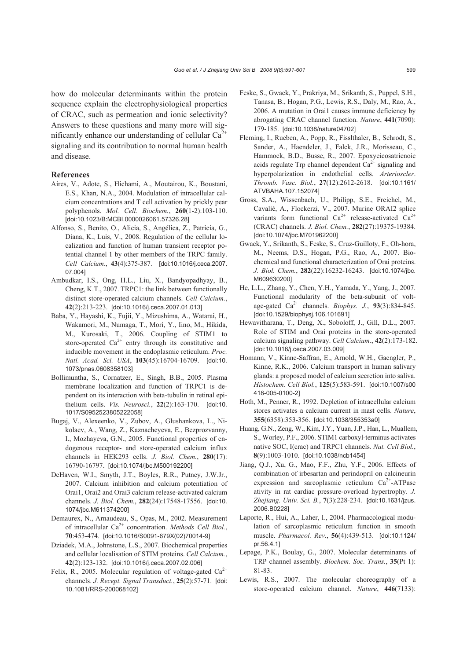how do molecular determinants within the protein sequence explain the electrophysiological properties of CRAC, such as permeation and ionic selectivity? Answers to these questions and many more will significantly enhance our understanding of cellular  $Ca^{2+}$ signaling and its contribution to normal human health and disease.

#### **References**

- Aires, V., Adote, S., Hichami, A., Moutairou, K., Boustani, E.S., Khan, N.A., 2004. Modulation of intracellular calcium concentrations and T cell activation by prickly pear polyphenols. *Mol. Cell. Biochem.*, **260**(1-2):103-110. [doi:10.1023/B:MCBI.0000026061.57326.28]
- Alfonso, S., Benito, O., Alicia, S., Angélica, Z., Patricia, G., Diana, K., Luis, V., 2008. Regulation of the cellular localization and function of human transient receptor potential channel 1 by other members of the TRPC family. *Cell Calcium.*, **43**(4):375-387. [doi:10.1016/j.ceca.2007. 07.004]
- Ambudkar, I.S., Ong, H.L., Liu, X., Bandyopadhyay, B., Cheng, K.T., 2007. TRPC1: the link between functionally distinct store-operated calcium channels. *Cell Calcium.*, **42**(2):213-223. [doi:10.1016/j.ceca.2007.01.013]
- Baba, Y., Hayashi, K., Fujii, Y., Mizushima, A., Watarai, H., Wakamori, M., Numaga, T., Mori, Y., Iino, M., Hikida, M., Kurosaki, T., 2006. Coupling of STIM1 to store-operated  $Ca^{2+}$  entry through its constitutive and inducible movement in the endoplasmic reticulum. *Proc. Natl. Acad. Sci. USA*, **103**(45):16704-16709. [doi:10. 1073/pnas.0608358103]
- Bollimuntha, S., Cornatzer, E., Singh, B.B., 2005. Plasma membrane localization and function of TRPC1 is dependent on its interaction with beta-tubulin in retinal epithelium cells. *Vis. Neurosci.*, **22**(2):163-170. [doi:10. 1017/S0952523805222058]
- Bugaj, V., Alexeenko, V., Zubov, A., Glushankova, L., Nikolaev, A., Wang, Z., Kaznacheyeva, E., Bezprozvanny, I., Mozhayeva, G.N., 2005. Functional properties of endogenous receptor- and store-operated calcium influx channels in HEK293 cells. *J. Biol. Chem.*, **280**(17): 16790-16797. [doi:10.1074/jbc.M500192200]
- DeHaven, W.I., Smyth, J.T., Boyles, R.R., Putney, J.W.Jr., 2007. Calcium inhibition and calcium potentiation of Orai1, Orai2 and Orai3 calcium release-activated calcium channels. *J. Biol. Chem.*, **282**(24):17548-17556. [doi:10. 1074/jbc.M611374200]
- Demaurex, N., Arnaudeau, S., Opas, M., 2002. Measurement of intracellular Ca2+ concentration. *Methods Cell Biol.*, **70**:453-474. [doi:10.1016/S0091-679X(02)70014-9]
- Dziadek, M.A., Johnstone, L.S., 2007. Biochemical properties and cellular localisation of STIM proteins. *Cell Calcium.*, **42**(2):123-132. [doi:10.1016/j.ceca.2007.02.006]
- Felix, R., 2005. Molecular regulation of voltage-gated  $Ca^{2+}$ channels. *J. Recept. Signal Transduct.*, **25**(2):57-71. [doi: 10.1081/RRS-200068102]
- Feske, S., Gwack, Y., Prakriya, M., Srikanth, S., Puppel, S.H., Tanasa, B., Hogan, P.G., Lewis, R.S., Daly, M., Rao, A., 2006. A mutation in Orai1 causes immune deficiency by abrogating CRAC channel function. *Nature*, **441**(7090): 179-185. [doi:10.1038/nature04702]
- Fleming, I., Rueben, A., Popp, R., Fisslthaler, B., Schrodt, S., Sander, A., Haendeler, J., Falck, J.R., Morisseau, C., Hammock, B.D., Busse, R., 2007. Epoxyeicosatrienoic acids regulate Trp channel dependent  $Ca<sup>2+</sup>$  signaling and hyperpolarization in endothelial cells. *Arterioscler*. *Thromb. Vasc. Biol.*, **27**(12):2612-2618. [doi:10.1161/ ATVBAHA.107.152074]
- Gross, S.A., Wissenbach, U., Philipp, S.E., Freichel, M., Cavalié, A., Flockerzi, V., 2007. Murine ORAI2 splice variants form functional  $Ca^{2+}$  release-activated  $Ca^{2+}$ (CRAC) channels. *J. Biol. Chem.*, **282**(27):19375-19384. [doi:10.1074/jbc.M701962200]
- Gwack, Y., Srikanth, S., Feske, S., Cruz-Guilloty, F., Oh-hora, M., Neems, D.S., Hogan, P.G., Rao, A., 2007. Biochemical and functional characterization of Orai proteins. *J. Biol. Chem.*, **282**(22):16232-16243. [doi:10.1074/jbc. M609630200]
- He, L.L., Zhang, Y., Chen, Y.H., Yamada, Y., Yang, J., 2007. Functional modularity of the beta-subunit of voltage-gated Ca2+ channels. *Biophys. J.*, **93**(3):834-845. [doi:10.1529/biophysj.106.101691]
- Hewavitharana, T., Deng, X., Soboloff, J., Gill, D.L., 2007. Role of STIM and Orai proteins in the store-operated calcium signaling pathway. *Cell Calcium.*, **42**(2):173-182. [doi:10.1016/j.ceca.2007.03.009]
- Homann, V., Kinne-Saffran, E., Arnold, W.H., Gaengler, P., Kinne, R.K., 2006. Calcium transport in human salivary glands: a proposed model of calcium secretion into saliva. *Histochem. Cell Biol.*, **125**(5):583-591. [doi:10.1007/s00 418-005-0100-2]
- Hoth, M., Penner, R., 1992. Depletion of intracellular calcium stores activates a calcium current in mast cells. *Nature*, **355**(6358):353-356. [doi:10.1038/355353a0]
- Huang, G.N., Zeng, W., Kim, J.Y., Yuan, J.P., Han, L., Muallem, S., Worley, P.F., 2006. STIM1 carboxyl-terminus activates native SOC, I(crac) and TRPC1 channels. *Nat. Cell Biol.*, **8**(9):1003-1010. [doi:10.1038/ncb1454]
- Jiang, Q.J., Xu, G., Mao, F.F., Zhu, Y.F., 2006. Effects of combination of irbesartan and perindopril on calcineurin expression and sarcoplasmic reticulum  $Ca<sup>2+</sup>-ATP$ ase ativity in rat cardiac pressure-overload hypertrophy. *J. Zhejiang. Univ. Sci. B.*, **7**(3):228-234. [doi:10.1631/jzus. 2006.B0228]
- Laporte, R., Hui, A., Laher, I., 2004. Pharmacological modulation of sarcoplasmic reticulum function in smooth muscle. *Pharmacol. Rev.*, **56**(4):439-513. [doi:10.1124/ pr.56.4.1]
- Lepage, P.K., Boulay, G., 2007. Molecular determinants of TRP channel assembly. *Biochem. Soc. Trans.*, **35**(Pt 1): 81-83.
- Lewis, R.S., 2007. The molecular choreography of a store-operated calcium channel. *Nature*, **446**(7133):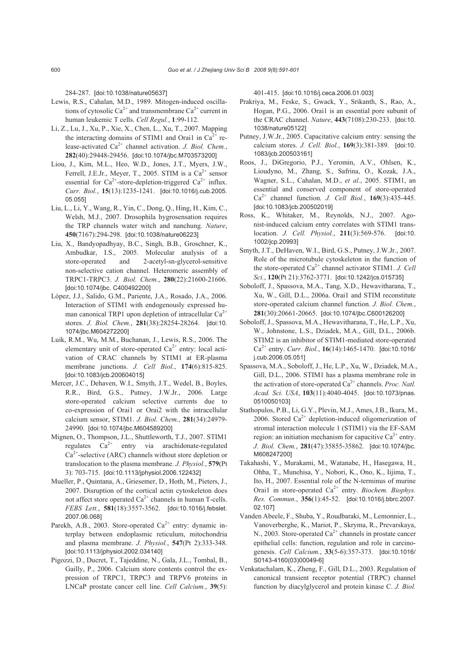284-287. [doi:10.1038/nature05637]

- Lewis, R.S., Cahalan, M.D., 1989. Mitogen-induced oscillations of cytosolic  $Ca^{2+}$  and transmembrane  $Ca^{2+}$  current in human leukemic T cells. *Cell Regul.*, **1**:99-112.
- Li, Z., Lu, J., Xu, P., Xie, X., Chen, L., Xu, T., 2007. Mapping the interacting domains of STIM1 and Orai1 in  $Ca^{2+}$  release-activated Ca<sup>2+</sup> channel activation. *J. Biol. Chem.*, **282**(40):29448-29456. [doi:10.1074/jbc.M703573200]
- Liou, J., Kim, M.L., Heo, W.D., Jones, J.T., Myers, J.W., Ferrell, J.E.Jr., Meyer, T., 2005. STIM is a  $Ca^{2+}$  sensor essential for  $Ca^{2+}$ -store-depletion-triggered  $Ca^{2+}$  influx. *Curr. Biol.*, **15**(13):1235-1241. [doi:10.1016/j.cub.2005. 05.055]
- Liu, L., Li, Y., Wang, R., Yin, C., Dong, Q., Hing, H., Kim, C., Welsh, M.J., 2007. Drosophila hygrosensation requires the TRP channels water witch and nanchung. *Nature*, **450**(7167):294-298. [doi:10.1038/nature06223]
- Liu, X., Bandyopadhyay, B.C., Singh, B.B., Groschner, K., Ambudkar, I.S., 2005. Molecular analysis of a store-operated and 2-acetyl-sn-glycerol-sensitive non-selective cation channel. Heteromeric assembly of TRPC1-TRPC3. *J. Biol. Chem.*, **280**(22):21600-21606. [doi:10.1074/jbc. C400492200]
- López, J.J., Salido, G.M., Pariente, J.A., Rosado, J.A., 2006. Interaction of STIM1 with endogenously expressed human canonical TRP1 upon depletion of intracellular  $Ca^{2+}$ stores. *J. Biol. Chem.*, **281**(38):28254-28264. [doi:10. 1074/jbc.M604272200]
- Luik, R.M., Wu, M.M., Buchanan, J., Lewis, R.S., 2006. The elementary unit of store-operated  $Ca^{2+}$  entry: local activation of CRAC channels by STIM1 at ER-plasma membrane junctions. *J. Cell Biol.*, **174**(6):815-825. [doi:10.1083/jcb.200604015]
- Mercer, J.C., Dehaven, W.I., Smyth, J.T., Wedel, B., Boyles, R.R., Bird, G.S., Putney, J.W.Jr., 2006. Large store-operated calcium selective currents due to co-expression of Orai1 or Orai2 with the intracellular calcium sensor, STIM1. *J. Biol. Chem.*, **281**(34):24979- 24990. [doi:10.1074/jbc.M604589200]
- Mignen, O., Thompson, J.L., Shuttleworth, T.J., 2007. STIM1 regulates  $Ca^{2+}$  entry via arachidonate-regulated  $Ca<sup>2+</sup>$ -selective (ARC) channels without store depletion or translocation to the plasma membrane. *J. Physiol.*, **579**(Pt 3): 703-715. [doi:10.1113/jphysiol.2006.122432]
- Mueller, P., Quintana, A., Griesemer, D., Hoth, M., Pieters, J., 2007. Disruption of the cortical actin cytoskeleton does not affect store operated  $Ca^{2+}$  channels in human T-cells. *FEBS Lett.*, **581**(18):3557-3562. [doi:10.1016/j.febslet. 2007.06.068]
- Parekh, A.B., 2003. Store-operated  $Ca^{2+}$  entry: dynamic interplay between endoplasmic reticulum, mitochondria and plasma membrane. *J. Physiol.*, **547**(Pt 2):333-348. [doi:10.1113/jphysiol.2002.034140]
- Pigozzi, D., Ducret, T., Tajeddine, N., Gala, J.L., Tombal, B., Gailly, P., 2006. Calcium store contents control the expression of TRPC1, TRPC3 and TRPV6 proteins in LNCaP prostate cancer cell line. *Cell Calcium.*, **39**(5):

401-415. [doi:10.1016/j.ceca.2006.01.003]

- Prakriya, M., Feske, S., Gwack, Y., Srikanth, S., Rao, A., Hogan, P.G., 2006. Orai1 is an essential pore subunit of the CRAC channel. *Nature*, **443**(7108):230-233. [doi:10. 1038/nature05122]
- Putney, J.W.Jr., 2005. Capacitative calcium entry: sensing the calcium stores. *J. Cell. Biol.*, **169**(3):381-389. [doi:10. 1083/jcb.200503161]
- Roos, J., DiGregorio, P.J., Yeromin, A.V., Ohlsen, K., Lioudyno, M., Zhang, S., Safrina, O., Kozak, J.A., Wagner, S.L., Cahalan, M.D., *et al*., 2005. STIM1, an essential and conserved component of store-operated Ca2+ channel function. *J. Cell Biol.*, **169**(3):435-445. [doi:10.1083/jcb.200502019]
- Ross, K., Whitaker, M., Reynolds, N.J., 2007. Agonist-induced calcium entry correlates with STIM1 translocation. *J. Cell. Physiol.*, **211**(3):569-576. [doi:10. 1002/jcp.20993]
- Smyth, J.T., DeHaven, W.I., Bird, G.S., Putney, J.W.Jr., 2007. Role of the microtubule cytoskeleton in the function of the store-operated Ca<sup>2+</sup> channel activator STIM1. *J. Cell Sci.*, **120**(Pt 21):3762-3771. [doi:10.1242/jcs.015735]
- Soboloff, J., Spassova, M.A., Tang, X.D., Hewavitharana, T., Xu, W., Gill, D.L., 2006a. Orai1 and STIM reconstitute store-operated calcium channel function. *J. Biol. Chem.*, **281**(30):20661-20665. [doi:10.1074/jbc.C600126200]
- Soboloff, J., Spassova, M.A., Hewavitharana, T., He, L.P., Xu, W., Johnstone, L.S., Dziadek, M.A., Gill, D.L., 2006b. STIM2 is an inhibitor of STIM1-mediated store-operated Ca2+ entry. *Curr. Biol.*, **16**(14):1465-1470. [doi:10.1016/ j.cub.2006.05.051]
- Spassova, M.A., Soboloff, J., He, L.P., Xu, W., Dziadek, M.A., Gill, D.L., 2006. STIM1 has a plasma membrane role in the activation of store-operated Ca<sup>2+</sup> channels. *Proc. Natl. Acad. Sci. USA*, **103**(11):4040-4045. [doi:10.1073/pnas. 0510050103]
- Stathopulos, P.B., Li, G.Y., Plevin, M.J., Ames, J.B., Ikura, M., 2006. Stored  $Ca^{2+}$  depletion-induced oligomerization of stromal interaction molecule 1 (STIM1) via the EF-SAM region: an initiation mechanism for capacitive  $Ca^{2+}$  entry. *J. Biol. Chem.*, **281**(47):35855-35862. [doi:10.1074/jbc. M608247200]
- Takahashi, Y., Murakami, M., Watanabe, H., Hasegawa, H., Ohba, T., Munehisa, Y., Nobori, K., Ono, K., Iijima, T., Ito, H., 2007. Essential role of the N-terminus of murine Orai1 in store-operated Ca<sup>2+</sup> entry. *Biochem. Biophys. Res. Commun.*, **356**(1):45-52. [doi:10.1016/j.bbrc.2007. 02.107]
- Vanden Abeele, F., Shuba, Y., Roudbaraki, M., Lemonnier, L., Vanoverberghe, K., Mariot, P., Skryma, R., Prevarskaya, N., 2003. Store-operated  $Ca^{2+}$  channels in prostate cancer epithelial cells: function, regulation and role in carcinogenesis. *Cell Calcium.*, **33**(5-6):357-373. [doi:10.1016/ S0143-4160(03)00049-6]
- Venkatachalam, K., Zheng, F., Gill, D.L., 2003. Regulation of canonical transient receptor potential (TRPC) channel function by diacylglycerol and protein kinase C. *J. Biol.*